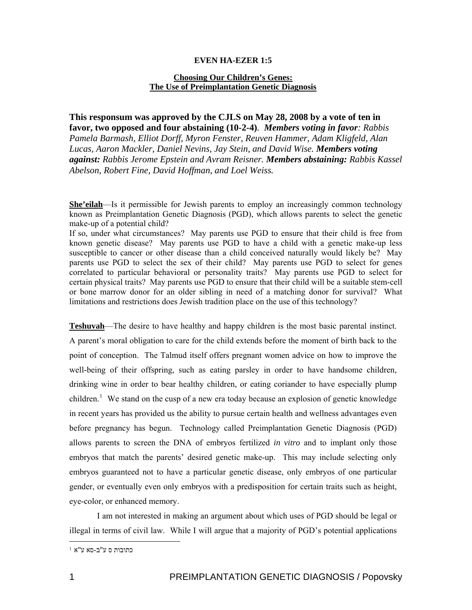### **EVEN HA-EZER 1:5**

## **Choosing Our Children's Genes: The Use of Preimplantation Genetic Diagnosis**

**This responsum was approved by the CJLS on May 28, 2008 by a vote of ten in favor, two opposed and four abstaining (10-2-4)***. Members voting in favor: Rabbis Pamela Barmash, Elliot Dorff, Myron Fenster, Reuven Hammer, Adam Kligfeld, Alan* 

*Lucas, Aaron Mackler, Daniel Nevins, Jay Stein, and David Wise. Members voting against: Rabbis Jerome Epstein and Avram Reisner. Members abstaining: Rabbis Kassel Abelson, Robert Fine, David Hoffman, and Loel Weiss.* 

**She'eilah**—Is it permissible for Jewish parents to employ an increasingly common technology known as Preimplantation Genetic Diagnosis (PGD), which allows parents to select the genetic make-up of a potential child?

If so, under what circumstances? May parents use PGD to ensure that their child is free from known genetic disease? May parents use PGD to have a child with a genetic make-up less susceptible to cancer or other disease than a child conceived naturally would likely be? May parents use PGD to select the sex of their child? May parents use PGD to select for genes correlated to particular behavioral or personality traits? May parents use PGD to select for certain physical traits? May parents use PGD to ensure that their child will be a suitable stem-cell or bone marrow donor for an older sibling in need of a matching donor for survival? What limitations and restrictions does Jewish tradition place on the use of this technology?

**Teshuvah**—The desire to have healthy and happy children is the most basic parental instinct. A parent's moral obligation to care for the child extends before the moment of birth back to the point of conception. The Talmud itself offers pregnant women advice on how to improve the well-being of their offspring, such as eating parsley in order to have handsome children, drinking wine in order to bear healthy children, or eating coriander to have especially plump children.<sup>[1](#page-0-0)</sup> We stand on the cusp of a new era today because an explosion of genetic knowledge in recent years has provided us the ability to pursue certain health and wellness advantages even before pregnancy has begun. Technology called Preimplantation Genetic Diagnosis (PGD) allows parents to screen the DNA of embryos fertilized *in vitro* and to implant only those embryos that match the parents' desired genetic make-up. This may include selecting only embryos guaranteed not to have a particular genetic disease, only embryos of one particular gender, or eventually even only embryos with a predisposition for certain traits such as height, eye-color, or enhanced memory.

I am not interested in making an argument about which uses of PGD should be legal or illegal in terms of civil law. While I will argue that a majority of PGD's potential applications

<span id="page-0-0"></span> $^{\rm 1}$ ע"ב-סא ע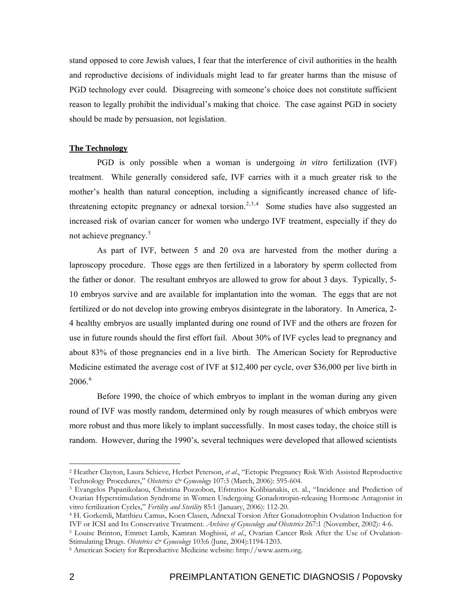stand opposed to core Jewish values, I fear that the interference of civil authorities in the health and reproductive decisions of individuals might lead to far greater harms than the misuse of PGD technology ever could. Disagreeing with someone's choice does not constitute sufficient reason to legally prohibit the individual's making that choice. The case against PGD in society should be made by persuasion, not legislation.

## **The Technology**

PGD is only possible when a woman is undergoing *in vitro* fertilization (IVF) treatment. While generally considered safe, IVF carries with it a much greater risk to the mother's health than natural conception, including a significantly increased chance of life-threatening ectopitc pregnancy or adnexal torsion.<sup>[2](#page-1-0),3,[4](#page-1-2)</sup> Some studies have also suggested an increased risk of ovarian cancer for women who undergo IVF treatment, especially if they do not achieve pregnancy.<sup>[5](#page-1-3)</sup>

As part of IVF, between 5 and 20 ova are harvested from the mother during a laproscopy procedure. Those eggs are then fertilized in a laboratory by sperm collected from the father or donor. The resultant embryos are allowed to grow for about 3 days. Typically, 5- 10 embryos survive and are available for implantation into the woman. The eggs that are not fertilized or do not develop into growing embryos disintegrate in the laboratory. In America, 2- 4 healthy embryos are usually implanted during one round of IVF and the others are frozen for use in future rounds should the first effort fail. About 30% of IVF cycles lead to pregnancy and about 83% of those pregnancies end in a live birth. The American Society for Reproductive Medicine estimated the average cost of IVF at \$12,400 per cycle, over \$36,000 per live birth in  $2006.<sup>6</sup>$  $2006.<sup>6</sup>$  $2006.<sup>6</sup>$ 

Before 1990, the choice of which embryos to implant in the woman during any given round of IVF was mostly random, determined only by rough measures of which embryos were more robust and thus more likely to implant successfully. In most cases today, the choice still is random. However, during the 1990's, several techniques were developed that allowed scientists

<span id="page-1-0"></span><sup>&</sup>lt;sup>2</sup> Heather Clayton, Laura Schieve, Herbet Peterson, *et al.*, "Ectopic Pregnancy Risk With Assisted Reproductive Technology Procedures," Obstetrics & Gynecology 107:3 (March, 2006): 595-604.

<span id="page-1-1"></span><sup>&</sup>lt;sup>3</sup> Evangelos [Papanikolaou,](http://www.ncbi.nlm.nih.gov/entrez/query.fcgi?db=pubmed&cmd=Search&itool=pubmed_Abstract&term=%22Papanikolaou+EG%22%5BAuthor%5D) Christina [Pozzobon](http://www.ncbi.nlm.nih.gov/entrez/query.fcgi?db=pubmed&cmd=Search&itool=pubmed_Abstract&term=%22Pozzobon+C%22%5BAuthor%5D), Efstratios [Kolibianakis,](http://www.ncbi.nlm.nih.gov/entrez/query.fcgi?db=pubmed&cmd=Search&itool=pubmed_Abstract&term=%22Kolibianakis+EM%22%5BAuthor%5D) et. al., "Incidence and Prediction of Ovarian Hyperstimulation Syndrome in Women Undergoing Gonadotropin-releasing Hormone Antagonist in

<span id="page-1-2"></span>vitro fertilization Cycles," *Fertility and Sterility* [85](http://www.ncbi.nlm.nih.gov/entrez/query.fcgi?db=pubmed&cmd=Search&itool=pubmed_Abstract&term=%22Clasen+K%22%5BAuthor%5D):1 (January, 2006): 112-20.<br><sup>4</sup> H. [Gorkemli](http://www.ncbi.nlm.nih.gov/entrez/query.fcgi?db=pubmed&cmd=Search&itool=pubmed_Abstract&term=%22Gorkemli+H%22%5BAuthor%5D), Matthieu [Camus](http://www.ncbi.nlm.nih.gov/entrez/query.fcgi?db=pubmed&cmd=Search&itool=pubmed_Abstract&term=%22Camus+M%22%5BAuthor%5D), Koen [Clasen,](http://www.ncbi.nlm.nih.gov/entrez/query.fcgi?db=pubmed&cmd=Search&itool=pubmed_Abstract&term=%22Clasen+K%22%5BAuthor%5D) Adnexal Torsion After Gonadotrophin Ovulation Induction for<br>IVF or ICSI and Its Conservativ

<span id="page-1-3"></span><sup>&</sup>lt;sup>5</sup> Louise Brinton, Emmet Lamb, Kamran Moghissi, et al., Ovarian Cancer Risk After the Use of Ovulation-Stimulating Drugs. *Obstetrics & Gynecology* 103:6 (June, 2004):1194-1203.<br><sup>6</sup> American Society for Reproductive Medicine website: http://www.asrm.org.

<span id="page-1-4"></span>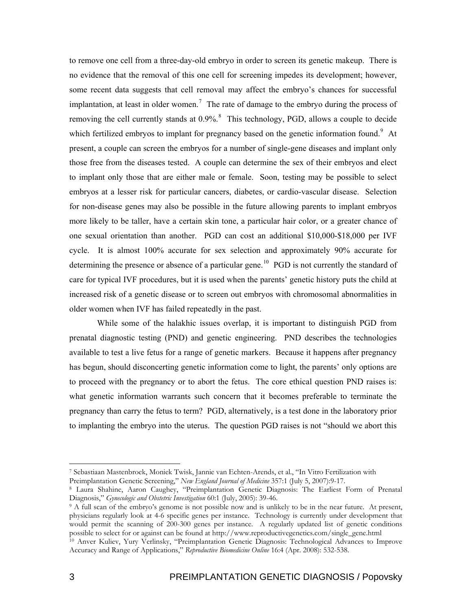to remove one cell from a three-day-old embryo in order to screen its genetic makeup. There is no evidence that the removal of this one cell for screening impedes its development; however, some recent data suggests that cell removal may affect the embryo's chances for successful implantation, at least in older women.<sup>[7](#page-2-0)</sup> The rate of damage to the embryo during the process of removing the cell currently stands at  $0.9\%$ .<sup>[8](#page-2-1)</sup> This technology, PGD, allows a couple to decide which fertilized embryos to implant for pregnancy based on the genetic information found.<sup>[9](#page-2-2)</sup> At present, a couple can screen the embryos for a number of single-gene diseases and implant only those free from the diseases tested. A couple can determine the sex of their embryos and elect to implant only those that are either male or female. Soon, testing may be possible to select embryos at a lesser risk for particular cancers, diabetes, or cardio-vascular disease. Selection for non-disease genes may also be possible in the future allowing parents to implant embryos more likely to be taller, have a certain skin tone, a particular hair color, or a greater chance of one sexual orientation than another. PGD can cost an additional \$10,000-\$18,000 per IVF cycle. It is almost 100% accurate for sex selection and approximately 90% accurate for determining the presence or absence of a particular gene.<sup>[10](#page-2-3)</sup> PGD is not currently the standard of care for typical IVF procedures, but it is used when the parents' genetic history puts the child at increased risk of a genetic disease or to screen out embryos with chromosomal abnormalities in older women when IVF has failed repeatedly in the past.

While some of the halakhic issues overlap, it is important to distinguish PGD from prenatal diagnostic testing (PND) and genetic engineering. PND describes the technologies available to test a live fetus for a range of genetic markers. Because it happens after pregnancy has begun, should disconcerting genetic information come to light, the parents' only options are to proceed with the pregnancy or to abort the fetus. The core ethical question PND raises is: what genetic information warrants such concern that it becomes preferable to terminate the pregnancy than carry the fetus to term? PGD, alternatively, is a test done in the laboratory prior to implanting the embryo into the uterus. The question PGD raises is not "should we abort this

<span id="page-2-0"></span><sup>&</sup>lt;sup>7</sup> Sebastiaan Mastenbroek, Moniek Twisk, Jannie van Echten-Arends, et al., "In Vitro Fertilization with<br>Preimplantation Genetic Screening," New England Journal of Medicine 357:1 (July 5, 2007):9-17.

<span id="page-2-1"></span><sup>&</sup>lt;sup>8</sup> Laura Shahine, Aaron Caughey, "Preimplantation Genetic Diagnosis: The Earliest Form of Prenatal Diagnosis," *Gynecologic and Obstetric Investigation* 60:1 (July, 2005): 39-46.<br><sup>9</sup> A full scan of the embryo's genome is not possible now and is unlikely to be in the near future. At present,

<span id="page-2-2"></span>physicians regularly look at 4-6 specific genes per instance. Technology is currently under development that would permit the scanning of 200-300 genes per instance. A regularly updated list of genetic conditions possible to select for or against can be found at http://www.reproductivegenetics.com/single gene.html

<span id="page-2-3"></span><sup>&</sup>lt;sup>10</sup> Anver Kuliev, Yury Verlinsky, "Preimplantation Genetic Diagnosis: Technological Advances to Improve Accuracy and Range of Applications," *Reproductive Biomedicine Online* 16:4 (Apr. 2008): 532-538.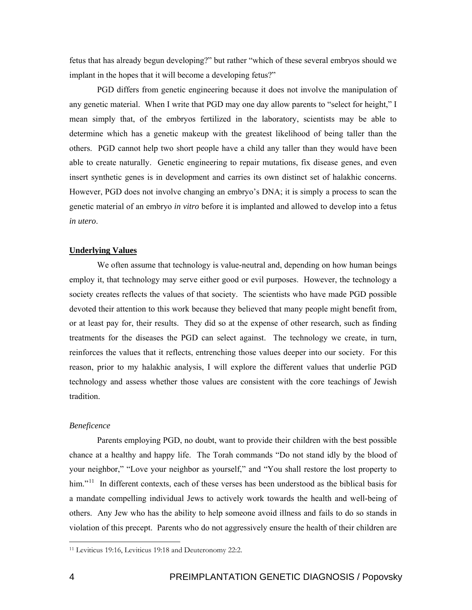fetus that has already begun developing?" but rather "which of these several embryos should we implant in the hopes that it will become a developing fetus?"

 PGD differs from genetic engineering because it does not involve the manipulation of any genetic material. When I write that PGD may one day allow parents to "select for height," I mean simply that, of the embryos fertilized in the laboratory, scientists may be able to determine which has a genetic makeup with the greatest likelihood of being taller than the others. PGD cannot help two short people have a child any taller than they would have been able to create naturally. Genetic engineering to repair mutations, fix disease genes, and even insert synthetic genes is in development and carries its own distinct set of halakhic concerns. However, PGD does not involve changing an embryo's DNA; it is simply a process to scan the genetic material of an embryo *in vitro* before it is implanted and allowed to develop into a fetus *in utero*.

## **Underlying Values**

 We often assume that technology is value-neutral and, depending on how human beings employ it, that technology may serve either good or evil purposes. However, the technology a society creates reflects the values of that society. The scientists who have made PGD possible devoted their attention to this work because they believed that many people might benefit from, or at least pay for, their results. They did so at the expense of other research, such as finding treatments for the diseases the PGD can select against. The technology we create, in turn, reinforces the values that it reflects, entrenching those values deeper into our society. For this reason, prior to my halakhic analysis, I will explore the different values that underlie PGD technology and assess whether those values are consistent with the core teachings of Jewish tradition.

### *Beneficence*

 Parents employing PGD, no doubt, want to provide their children with the best possible chance at a healthy and happy life. The Torah commands "Do not stand idly by the blood of your neighbor," "Love your neighbor as yourself," and "You shall restore the lost property to him."<sup>[11](#page-3-0)</sup> In different contexts, each of these verses has been understood as the biblical basis for a mandate compelling individual Jews to actively work towards the health and well-being of others. Any Jew who has the ability to help someone avoid illness and fails to do so stands in violation of this precept. Parents who do not aggressively ensure the health of their children are

<span id="page-3-0"></span><sup>11</sup> Leviticus 19:16, Leviticus 19:18 and Deuteronomy 22:2.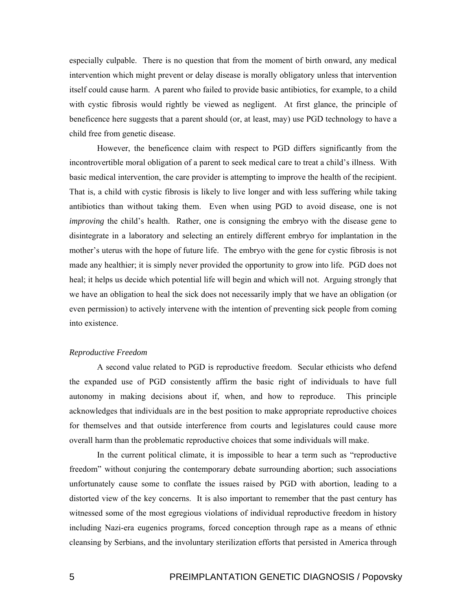especially culpable. There is no question that from the moment of birth onward, any medical intervention which might prevent or delay disease is morally obligatory unless that intervention itself could cause harm. A parent who failed to provide basic antibiotics, for example, to a child with cystic fibrosis would rightly be viewed as negligent. At first glance, the principle of beneficence here suggests that a parent should (or, at least, may) use PGD technology to have a child free from genetic disease.

However, the beneficence claim with respect to PGD differs significantly from the incontrovertible moral obligation of a parent to seek medical care to treat a child's illness. With basic medical intervention, the care provider is attempting to improve the health of the recipient. That is, a child with cystic fibrosis is likely to live longer and with less suffering while taking antibiotics than without taking them. Even when using PGD to avoid disease, one is not *improving* the child's health. Rather, one is consigning the embryo with the disease gene to disintegrate in a laboratory and selecting an entirely different embryo for implantation in the mother's uterus with the hope of future life. The embryo with the gene for cystic fibrosis is not made any healthier; it is simply never provided the opportunity to grow into life. PGD does not heal; it helps us decide which potential life will begin and which will not. Arguing strongly that we have an obligation to heal the sick does not necessarily imply that we have an obligation (or even permission) to actively intervene with the intention of preventing sick people from coming into existence.

### *Reproductive Freedom*

 A second value related to PGD is reproductive freedom. Secular ethicists who defend the expanded use of PGD consistently affirm the basic right of individuals to have full autonomy in making decisions about if, when, and how to reproduce. This principle acknowledges that individuals are in the best position to make appropriate reproductive choices for themselves and that outside interference from courts and legislatures could cause more overall harm than the problematic reproductive choices that some individuals will make.

In the current political climate, it is impossible to hear a term such as "reproductive freedom" without conjuring the contemporary debate surrounding abortion; such associations unfortunately cause some to conflate the issues raised by PGD with abortion, leading to a distorted view of the key concerns. It is also important to remember that the past century has witnessed some of the most egregious violations of individual reproductive freedom in history including Nazi-era eugenics programs, forced conception through rape as a means of ethnic cleansing by Serbians, and the involuntary sterilization efforts that persisted in America through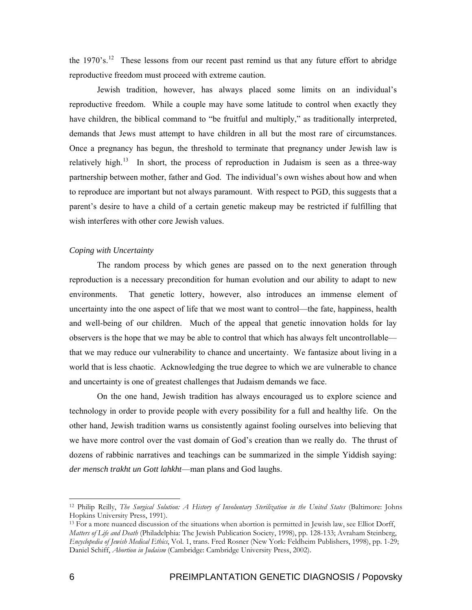the  $1970$ 's.<sup>[12](#page-5-0)</sup> These lessons from our recent past remind us that any future effort to abridge reproductive freedom must proceed with extreme caution.

 Jewish tradition, however, has always placed some limits on an individual's reproductive freedom. While a couple may have some latitude to control when exactly they have children, the biblical command to "be fruitful and multiply," as traditionally interpreted, demands that Jews must attempt to have children in all but the most rare of circumstances. Once a pregnancy has begun, the threshold to terminate that pregnancy under Jewish law is relatively high.<sup>[13](#page-5-1)</sup> In short, the process of reproduction in Judaism is seen as a three-way partnership between mother, father and God. The individual's own wishes about how and when to reproduce are important but not always paramount. With respect to PGD, this suggests that a parent's desire to have a child of a certain genetic makeup may be restricted if fulfilling that wish interferes with other core Jewish values.

## *Coping with Uncertainty*

 The random process by which genes are passed on to the next generation through reproduction is a necessary precondition for human evolution and our ability to adapt to new environments. That genetic lottery, however, also introduces an immense element of uncertainty into the one aspect of life that we most want to control—the fate, happiness, health and well-being of our children. Much of the appeal that genetic innovation holds for lay observers is the hope that we may be able to control that which has always felt uncontrollable that we may reduce our vulnerability to chance and uncertainty. We fantasize about living in a world that is less chaotic. Acknowledging the true degree to which we are vulnerable to chance and uncertainty is one of greatest challenges that Judaism demands we face.

 On the one hand, Jewish tradition has always encouraged us to explore science and technology in order to provide people with every possibility for a full and healthy life. On the other hand, Jewish tradition warns us consistently against fooling ourselves into believing that we have more control over the vast domain of God's creation than we really do. The thrust of dozens of rabbinic narratives and teachings can be summarized in the simple Yiddish saying: *der mensch trakht un Gott lahkht*—man plans and God laughs.

<span id="page-5-0"></span><sup>12</sup> Philip Reilly, *The Surgical Solution: A History of Involuntary Sterilization in the United States* (Baltimore: Johns Hopkins University Press, 1991).

<span id="page-5-1"></span><sup>&</sup>lt;sup>13</sup> For a more nuanced discussion of the situations when abortion is permitted in Jewish law, see Elliot Dorff, *Matters of Life and Death* (Philadelphia: The Jewish Publication Society, 1998), pp. 128-133; Avraham Steinberg, *Encyclopedia of Jewish Medical Ethics*, Vol. 1, trans. Fred Rosner (New York: Feldheim Publishers, 1998), pp. 1-29; Daniel Schiff, *Abortion in Judaism* (Cambridge: Cambridge University Press, 2002).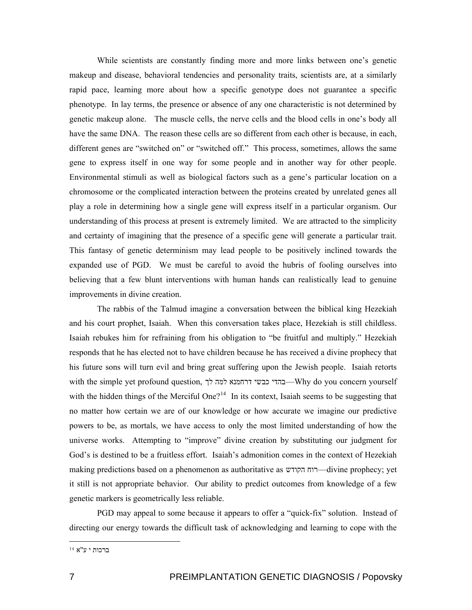While scientists are constantly finding more and more links between one's genetic makeup and disease, behavioral tendencies and personality traits, scientists are, at a similarly rapid pace, learning more about how a specific genotype does not guarantee a specific phenotype. In lay terms, the presence or absence of any one characteristic is not determined by genetic makeup alone. The muscle cells, the nerve cells and the blood cells in one's body all have the same DNA. The reason these cells are so different from each other is because, in each, different genes are "switched on" or "switched off." This process, sometimes, allows the same gene to express itself in one way for some people and in another way for other people. Environmental stimuli as well as biological factors such as a gene's particular location on a chromosome or the complicated interaction between the proteins created by unrelated genes all play a role in determining how a single gene will express itself in a particular organism. Our understanding of this process at present is extremely limited. We are attracted to the simplicity and certainty of imagining that the presence of a specific gene will generate a particular trait. This fantasy of genetic determinism may lead people to be positively inclined towards the expanded use of PGD. We must be careful to avoid the hubris of fooling ourselves into believing that a few blunt interventions with human hands can realistically lead to genuine improvements in divine creation.

 The rabbis of the Talmud imagine a conversation between the biblical king Hezekiah and his court prophet, Isaiah. When this conversation takes place, Hezekiah is still childless. Isaiah rebukes him for refraining from his obligation to "be fruitful and multiply." Hezekiah responds that he has elected not to have children because he has received a divine prophecy that his future sons will turn evil and bring great suffering upon the Jewish people. Isaiah retorts with the simple yet profound question, לך למה דרחמנא כבשי בהדי—Why do you concern yourself with the hidden things of the Merciful One?<sup>[14](#page-6-0)</sup> In its context, Isaiah seems to be suggesting that no matter how certain we are of our knowledge or how accurate we imagine our predictive powers to be, as mortals, we have access to only the most limited understanding of how the universe works. Attempting to "improve" divine creation by substituting our judgment for God's is destined to be a fruitless effort. Isaiah's admonition comes in the context of Hezekiah making predictions based on a phenomenon as authoritative as הקודש רוח—divine prophecy; yet it still is not appropriate behavior. Our ability to predict outcomes from knowledge of a few genetic markers is geometrically less reliable.

 PGD may appeal to some because it appears to offer a "quick-fix" solution. Instead of directing our energy towards the difficult task of acknowledging and learning to cope with the

<span id="page-6-0"></span><sup>14</sup> ברכות י $^{\rm 14}$  ע"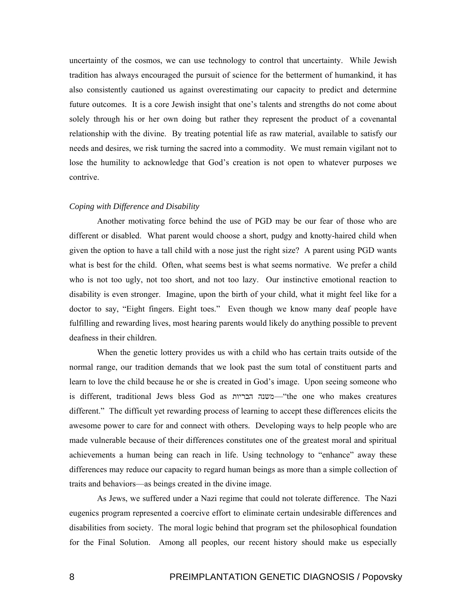uncertainty of the cosmos, we can use technology to control that uncertainty. While Jewish tradition has always encouraged the pursuit of science for the betterment of humankind, it has also consistently cautioned us against overestimating our capacity to predict and determine future outcomes. It is a core Jewish insight that one's talents and strengths do not come about solely through his or her own doing but rather they represent the product of a covenantal relationship with the divine. By treating potential life as raw material, available to satisfy our needs and desires, we risk turning the sacred into a commodity. We must remain vigilant not to lose the humility to acknowledge that God's creation is not open to whatever purposes we contrive.

#### *Coping with Difference and Disability*

Another motivating force behind the use of PGD may be our fear of those who are different or disabled. What parent would choose a short, pudgy and knotty-haired child when given the option to have a tall child with a nose just the right size? A parent using PGD wants what is best for the child. Often, what seems best is what seems normative. We prefer a child who is not too ugly, not too short, and not too lazy. Our instinctive emotional reaction to disability is even stronger. Imagine, upon the birth of your child, what it might feel like for a doctor to say, "Eight fingers. Eight toes." Even though we know many deaf people have fulfilling and rewarding lives, most hearing parents would likely do anything possible to prevent deafness in their children.

 When the genetic lottery provides us with a child who has certain traits outside of the normal range, our tradition demands that we look past the sum total of constituent parts and learn to love the child because he or she is created in God's image. Upon seeing someone who is different, traditional Jews bless God as הבריות "the one who makes creatures" different." The difficult yet rewarding process of learning to accept these differences elicits the awesome power to care for and connect with others. Developing ways to help people who are made vulnerable because of their differences constitutes one of the greatest moral and spiritual achievements a human being can reach in life. Using technology to "enhance" away these differences may reduce our capacity to regard human beings as more than a simple collection of traits and behaviors—as beings created in the divine image.

 As Jews, we suffered under a Nazi regime that could not tolerate difference. The Nazi eugenics program represented a coercive effort to eliminate certain undesirable differences and disabilities from society. The moral logic behind that program set the philosophical foundation for the Final Solution. Among all peoples, our recent history should make us especially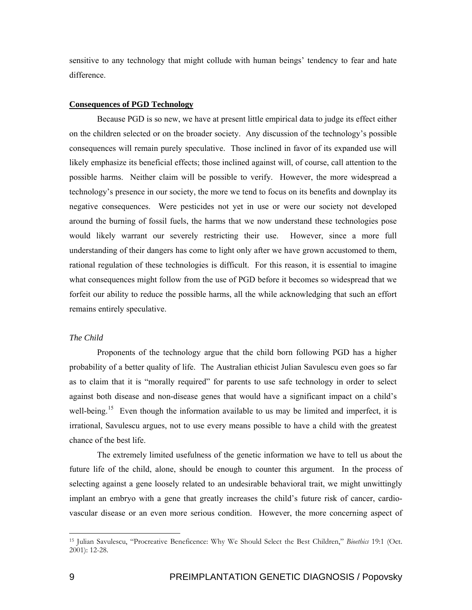sensitive to any technology that might collude with human beings' tendency to fear and hate difference.

### **Consequences of PGD Technology**

 Because PGD is so new, we have at present little empirical data to judge its effect either on the children selected or on the broader society. Any discussion of the technology's possible consequences will remain purely speculative. Those inclined in favor of its expanded use will likely emphasize its beneficial effects; those inclined against will, of course, call attention to the possible harms. Neither claim will be possible to verify. However, the more widespread a technology's presence in our society, the more we tend to focus on its benefits and downplay its negative consequences. Were pesticides not yet in use or were our society not developed around the burning of fossil fuels, the harms that we now understand these technologies pose would likely warrant our severely restricting their use. However, since a more full understanding of their dangers has come to light only after we have grown accustomed to them, rational regulation of these technologies is difficult. For this reason, it is essential to imagine what consequences might follow from the use of PGD before it becomes so widespread that we forfeit our ability to reduce the possible harms, all the while acknowledging that such an effort remains entirely speculative.

### *The Child*

 Proponents of the technology argue that the child born following PGD has a higher probability of a better quality of life. The Australian ethicist Julian Savulescu even goes so far as to claim that it is "morally required" for parents to use safe technology in order to select against both disease and non-disease genes that would have a significant impact on a child's well-being.<sup>[15](#page-8-0)</sup> Even though the information available to us may be limited and imperfect, it is irrational, Savulescu argues, not to use every means possible to have a child with the greatest chance of the best life.

 The extremely limited usefulness of the genetic information we have to tell us about the future life of the child, alone, should be enough to counter this argument. In the process of selecting against a gene loosely related to an undesirable behavioral trait, we might unwittingly implant an embryo with a gene that greatly increases the child's future risk of cancer, cardiovascular disease or an even more serious condition. However, the more concerning aspect of

<span id="page-8-0"></span><sup>15</sup> Julian Savulescu, "Procreative Beneficence: Why We Should Select the Best Children," *Bioethics* 19:1 (Oct. 2001): 12-28.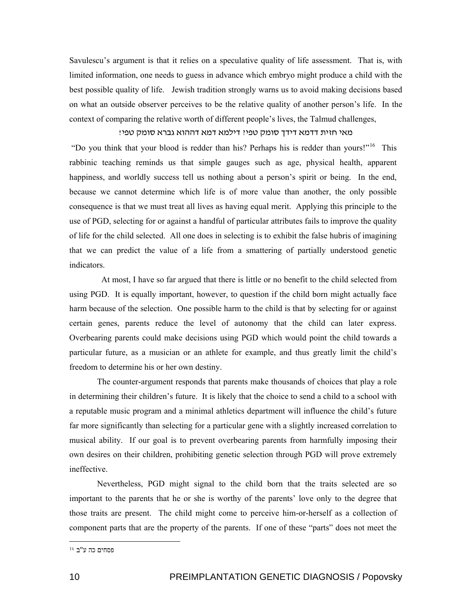Savulescu's argument is that it relies on a speculative quality of life assessment. That is, with limited information, one needs to guess in advance which embryo might produce a child with the best possible quality of life. Jewish tradition strongly warns us to avoid making decisions based on what an outside observer perceives to be the relative quality of another person's life. In the context of comparing the relative worth of different people's lives, the Talmud challenges,

מאי חזית דדמא דידך סומק טפי? דילמא דמא דההוא גברא סומק טפי!

 "Do you think that your blood is redder than his? Perhaps his is redder than yours!"[16](#page-9-0) This rabbinic teaching reminds us that simple gauges such as age, physical health, apparent happiness, and worldly success tell us nothing about a person's spirit or being. In the end, because we cannot determine which life is of more value than another, the only possible consequence is that we must treat all lives as having equal merit. Applying this principle to the use of PGD, selecting for or against a handful of particular attributes fails to improve the quality of life for the child selected. All one does in selecting is to exhibit the false hubris of imagining that we can predict the value of a life from a smattering of partially understood genetic indicators.

 At most, I have so far argued that there is little or no benefit to the child selected from using PGD. It is equally important, however, to question if the child born might actually face harm because of the selection. One possible harm to the child is that by selecting for or against certain genes, parents reduce the level of autonomy that the child can later express. Overbearing parents could make decisions using PGD which would point the child towards a particular future, as a musician or an athlete for example, and thus greatly limit the child's freedom to determine his or her own destiny.

 The counter-argument responds that parents make thousands of choices that play a role in determining their children's future. It is likely that the choice to send a child to a school with a reputable music program and a minimal athletics department will influence the child's future far more significantly than selecting for a particular gene with a slightly increased correlation to musical ability. If our goal is to prevent overbearing parents from harmfully imposing their own desires on their children, prohibiting genetic selection through PGD will prove extremely ineffective.

 Nevertheless, PGD might signal to the child born that the traits selected are so important to the parents that he or she is worthy of the parents' love only to the degree that those traits are present. The child might come to perceive him-or-herself as a collection of component parts that are the property of the parents. If one of these "parts" does not meet the

<span id="page-9-0"></span> $^{16}$  פסחים כה ע"ב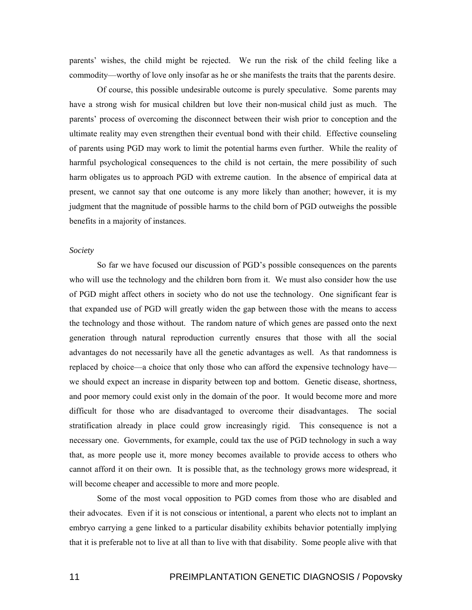parents' wishes, the child might be rejected. We run the risk of the child feeling like a commodity—worthy of love only insofar as he or she manifests the traits that the parents desire.

Of course, this possible undesirable outcome is purely speculative. Some parents may have a strong wish for musical children but love their non-musical child just as much. The parents' process of overcoming the disconnect between their wish prior to conception and the ultimate reality may even strengthen their eventual bond with their child. Effective counseling of parents using PGD may work to limit the potential harms even further. While the reality of harmful psychological consequences to the child is not certain, the mere possibility of such harm obligates us to approach PGD with extreme caution. In the absence of empirical data at present, we cannot say that one outcome is any more likely than another; however, it is my judgment that the magnitude of possible harms to the child born of PGD outweighs the possible benefits in a majority of instances.

### *Society*

 So far we have focused our discussion of PGD's possible consequences on the parents who will use the technology and the children born from it. We must also consider how the use of PGD might affect others in society who do not use the technology. One significant fear is that expanded use of PGD will greatly widen the gap between those with the means to access the technology and those without. The random nature of which genes are passed onto the next generation through natural reproduction currently ensures that those with all the social advantages do not necessarily have all the genetic advantages as well. As that randomness is replaced by choice—a choice that only those who can afford the expensive technology have we should expect an increase in disparity between top and bottom. Genetic disease, shortness, and poor memory could exist only in the domain of the poor. It would become more and more difficult for those who are disadvantaged to overcome their disadvantages. The social stratification already in place could grow increasingly rigid. This consequence is not a necessary one. Governments, for example, could tax the use of PGD technology in such a way that, as more people use it, more money becomes available to provide access to others who cannot afford it on their own. It is possible that, as the technology grows more widespread, it will become cheaper and accessible to more and more people.

Some of the most vocal opposition to PGD comes from those who are disabled and their advocates. Even if it is not conscious or intentional, a parent who elects not to implant an embryo carrying a gene linked to a particular disability exhibits behavior potentially implying that it is preferable not to live at all than to live with that disability. Some people alive with that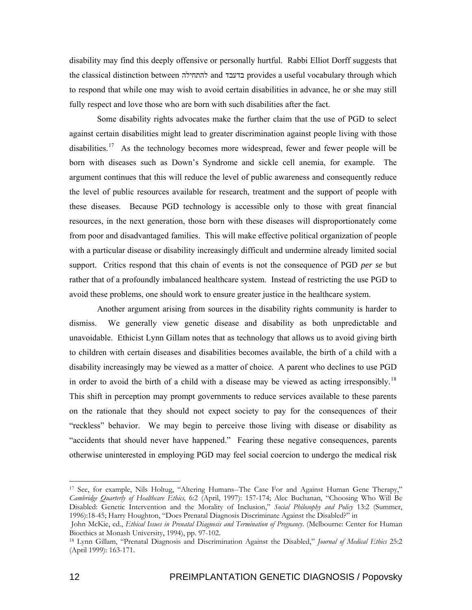disability may find this deeply offensive or personally hurtful. Rabbi Elliot Dorff suggests that the classical distinction between בדעבד and בהעבד provides a useful vocabulary through which to respond that while one may wish to avoid certain disabilities in advance, he or she may still fully respect and love those who are born with such disabilities after the fact.

Some disability rights advocates make the further claim that the use of PGD to select against certain disabilities might lead to greater discrimination against people living with those disabilities.<sup>[17](#page-11-0)</sup> As the technology becomes more widespread, fewer and fewer people will be born with diseases such as Down's Syndrome and sickle cell anemia, for example. The argument continues that this will reduce the level of public awareness and consequently reduce the level of public resources available for research, treatment and the support of people with these diseases. Because PGD technology is accessible only to those with great financial resources, in the next generation, those born with these diseases will disproportionately come from poor and disadvantaged families. This will make effective political organization of people with a particular disease or disability increasingly difficult and undermine already limited social support. Critics respond that this chain of events is not the consequence of PGD *per se* but rather that of a profoundly imbalanced healthcare system. Instead of restricting the use PGD to avoid these problems, one should work to ensure greater justice in the healthcare system.

 Another argument arising from sources in the disability rights community is harder to dismiss. We generally view genetic disease and disability as both unpredictable and unavoidable. Ethicist Lynn Gillam notes that as technology that allows us to avoid giving birth to children with certain diseases and disabilities becomes available, the birth of a child with a disability increasingly may be viewed as a matter of choice. A parent who declines to use PGD in order to avoid the birth of a child with a disease may be viewed as acting irresponsibly.<sup>[18](#page-11-1)</sup> This shift in perception may prompt governments to reduce services available to these parents on the rationale that they should not expect society to pay for the consequences of their "reckless" behavior. We may begin to perceive those living with disease or disability as "accidents that should never have happened." Fearing these negative consequences, parents otherwise uninterested in employing PGD may feel social coercion to undergo the medical risk

<span id="page-11-0"></span><sup>17</sup> See, for example, Nils Holtug, "Altering Humans--The Case For and Against Human Gene Therapy," *Cambridge Quarterly of Healthcare Ethics,* 6:2 (April, 1997): 157-174; Alec Buchanan, "Choosing Who Will Be Disabled: Genetic Intervention and the Morality of Inclusion," *Social Philosophy and Policy* 13:2 (Summer, 1996):18-45; Harry Houghton, "Does Prenatal Diagnosis Discriminate Against the Disabled?" in

John McKie, ed., *Ethical Issues in Prenatal Diagnosis and Termination of Pregnancy*. (Melbourne: Center for Human Bioethics at Monash University, 1994), pp. 97-102.

<span id="page-11-1"></span><sup>18</sup> Lynn Gillam, "Prenatal Diagnosis and Discrimination Against the Disabled," *Journal of Medical Ethics* 25:2 (April 1999): 163-171.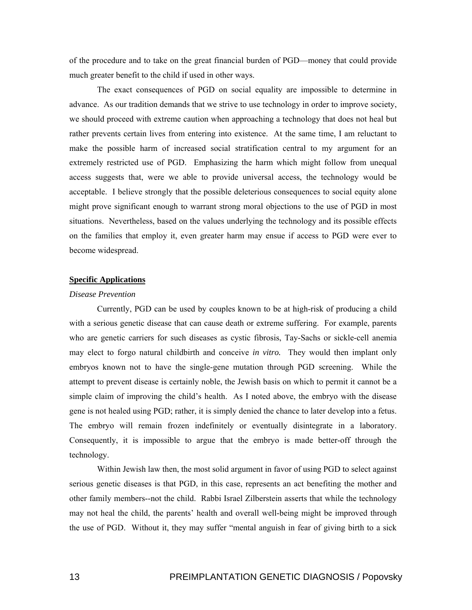of the procedure and to take on the great financial burden of PGD—money that could provide much greater benefit to the child if used in other ways.

The exact consequences of PGD on social equality are impossible to determine in advance. As our tradition demands that we strive to use technology in order to improve society, we should proceed with extreme caution when approaching a technology that does not heal but rather prevents certain lives from entering into existence. At the same time, I am reluctant to make the possible harm of increased social stratification central to my argument for an extremely restricted use of PGD. Emphasizing the harm which might follow from unequal access suggests that, were we able to provide universal access, the technology would be acceptable. I believe strongly that the possible deleterious consequences to social equity alone might prove significant enough to warrant strong moral objections to the use of PGD in most situations. Nevertheless, based on the values underlying the technology and its possible effects on the families that employ it, even greater harm may ensue if access to PGD were ever to become widespread.

# **Specific Applications**

#### *Disease Prevention*

Currently, PGD can be used by couples known to be at high-risk of producing a child with a serious genetic disease that can cause death or extreme suffering. For example, parents who are genetic carriers for such diseases as cystic fibrosis, Tay-Sachs or sickle-cell anemia may elect to forgo natural childbirth and conceive *in vitro.* They would then implant only embryos known not to have the single-gene mutation through PGD screening. While the attempt to prevent disease is certainly noble, the Jewish basis on which to permit it cannot be a simple claim of improving the child's health. As I noted above, the embryo with the disease gene is not healed using PGD; rather, it is simply denied the chance to later develop into a fetus. The embryo will remain frozen indefinitely or eventually disintegrate in a laboratory. Consequently, it is impossible to argue that the embryo is made better-off through the technology.

Within Jewish law then, the most solid argument in favor of using PGD to select against serious genetic diseases is that PGD, in this case, represents an act benefiting the mother and other family members--not the child. Rabbi Israel Zilberstein asserts that while the technology may not heal the child, the parents' health and overall well-being might be improved through the use of PGD. Without it, they may suffer "mental anguish in fear of giving birth to a sick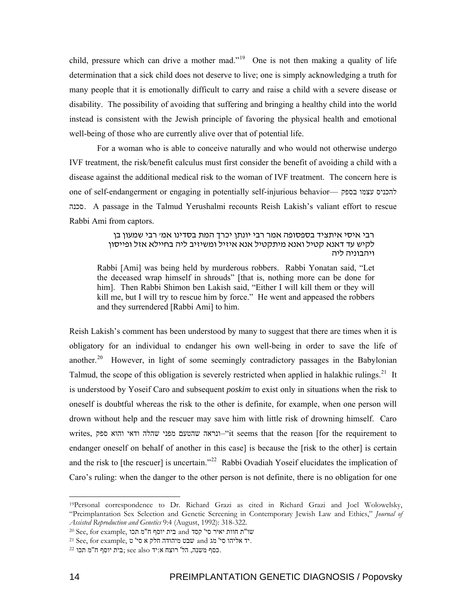child, pressure which can drive a mother mad."<sup>[19](#page-13-0)</sup> One is not then making a quality of life determination that a sick child does not deserve to live; one is simply acknowledging a truth for many people that it is emotionally difficult to carry and raise a child with a severe disease or disability. The possibility of avoiding that suffering and bringing a healthy child into the world instead is consistent with the Jewish principle of favoring the physical health and emotional well-being of those who are currently alive over that of potential life.

 For a woman who is able to conceive naturally and who would not otherwise undergo IVF treatment, the risk/benefit calculus must first consider the benefit of avoiding a child with a disease against the additional medical risk to the woman of IVF treatment. The concern here is one of self-endangerment or engaging in potentially self-injurious behavior— בספק עצמו להכניס סכנה. A passage in the Talmud Yerushalmi recounts Reish Lakish's valiant effort to rescue Rabbi Ami from captors.

## רבי איסי איתציד בספסופה אמר רבי יונתן יכרך המת בסדינו אמ' רבי שמעון בן לקיש עד דאנא קטיל ואנא מיתקטיל אנא איזיל ומשיזיב ליה בחיילא אזל ופייסון ויהבוניה ליה

Rabbi [Ami] was being held by murderous robbers. Rabbi Yonatan said, "Let the deceased wrap himself in shrouds" [that is, nothing more can be done for him]. Then Rabbi Shimon ben Lakish said, "Either I will kill them or they will kill me, but I will try to rescue him by force." He went and appeased the robbers and they surrendered [Rabbi Ami] to him.

Reish Lakish's comment has been understood by many to suggest that there are times when it is obligatory for an individual to endanger his own well-being in order to save the life of another.<sup>[20](#page-13-1)</sup> However, in light of some seemingly contradictory passages in the Babylonian Talmud, the scope of this obligation is severely restricted when applied in halakhic rulings.<sup>[21](#page-13-2)</sup> It is understood by Yoseif Caro and subsequent *poskim* to exist only in situations when the risk to oneself is doubtful whereas the risk to the other is definite, for example, when one person will drown without help and the rescuer may save him with little risk of drowning himself. Caro writes, ספק והוא ודאי שהלה מפני שהטעם ונראה"–it seems that the reason [for the requirement to endanger oneself on behalf of another in this case] is because the [risk to the other] is certain and the risk to [the rescuer] is uncertain."<sup>[22](#page-13-3)</sup> Rabbi Ovadiah Yoseif elucidates the implication of Caro's ruling: when the danger to the other person is not definite, there is no obligation for one

<span id="page-13-0"></span><sup>19</sup>Personal correspondence to Dr. Richard Grazi as cited in Richard Grazi and Joel Wolowelsky, "Preimplantation Sex Selection and Genetic Screening in Contemporary Jewish Law and Ethics," *Journal of* 

שו"<sup>ת</sup> חוות יאיר סי' קסד and בית יוסף <sup>ח</sup>"<sup>מ</sup> תכו ,example for ,See 20 318-322. :)1992 ,August (9:4 *Genetics and Reproduction Assisted*

<span id="page-13-2"></span><span id="page-13-1"></span> $^{21}$  See, for example, יד אליהו סי' מג and שבט מיהודה חלק א סי'

<span id="page-13-3"></span><sup>22</sup> כסף משנה, הל' רוצח א:יד see also בית יוסף ח"מ תכו.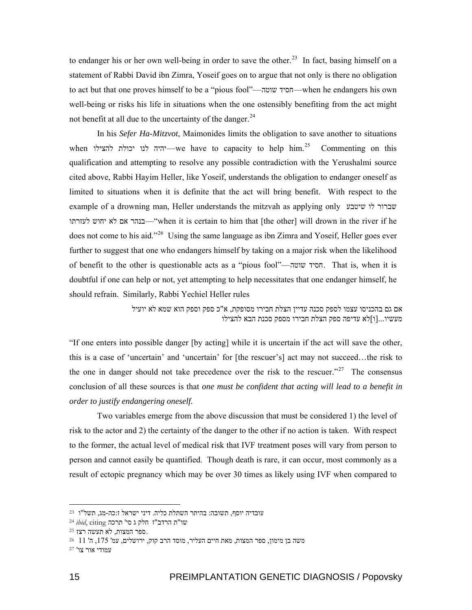to endanger his or her own well-being in order to save the other.<sup>[23](#page-14-0)</sup> In fact, basing himself on a statement of Rabbi David ibn Zimra, Yoseif goes on to argue that not only is there no obligation to act but that one proves himself to be a "pious fool"—שוטה חסיד—when he endangers his own well-being or risks his life in situations when the one ostensibly benefiting from the act might not benefit at all due to the uncertainty of the danger. $^{24}$  $^{24}$  $^{24}$ 

In his *Sefer Ha-Mitzvot*, Maimonides limits the obligation to save another to situations when היה לנו יכולת להצילו —we have to capacity to help him.<sup>[25](#page-14-2)</sup> Commenting on this qualification and attempting to resolve any possible contradiction with the Yerushalmi source cited above, Rabbi Hayim Heller, like Yoseif, understands the obligation to endanger oneself as limited to situations when it is definite that the act will bring benefit. With respect to the example of a drowning man, Heller understands the mitzvah as applying only שברור לו שיטבע בנהר אם לא יחוש לעזרתו $\hbox{\rm ``when it is certain to him that [the other] will drawn in the river if he}$ does not come to his aid."[26](#page-14-3) Using the same language as ibn Zimra and Yoseif, Heller goes ever further to suggest that one who endangers himself by taking on a major risk when the likelihood of benefit to the other is questionable acts as a "pious fool"—שוטה חסיד. That is, when it is doubtful if one can help or not, yet attempting to help necessitates that one endanger himself, he should refrain. Similarly, Rabbi Yechiel Heller rules

> אם גם בהכניסו עצמו לספק סכנה עדיין הצלת חבירו מסופקת, א"כ ספק וספק הוא שמא לא יועיל מעשיו...[ו]לא עדיפה ספק הצלת חבירו מספק סכנת הבא להצילו

"If one enters into possible danger [by acting] while it is uncertain if the act will save the other, this is a case of 'uncertain' and 'uncertain' for [the rescuer's] act may not succeed…the risk to the one in danger should not take precedence over the risk to the rescuer."<sup>[27](#page-14-4)</sup> The consensus conclusion of all these sources is that *one must be confident that acting will lead to a benefit in order to justify endangering oneself.*

Two variables emerge from the above discussion that must be considered 1) the level of risk to the actor and 2) the certainty of the danger to the other if no action is taken. With respect to the former, the actual level of medical risk that IVF treatment poses will vary from person to person and cannot easily be quantified. Though death is rare, it can occur, most commonly as a result of ectopic pregnancy which may be over 30 times as likely using IVF when compared to

<span id="page-14-0"></span> $^{23}$  עובדיה יוסף, תשובה: בהיתר השתלת כליה. דיני ישראל ז:כה-מג, תשל"ו

<span id="page-14-2"></span><span id="page-14-1"></span>שו"ת הרדב"ז חלק ג סי' תרכה citing ,*ibid* <sup>24</sup>

 <sup>.</sup> <sup>25</sup> ספר המצות, לא תעשה רצז

<span id="page-14-3"></span> $^{26}$  משה בן מימון, ספר המצות, מאת חיים העליר, מוסד הרב קוק, ירושלים, עמ' 175, ה' 11

<span id="page-14-4"></span> $^{\rm 27}$  עמודי אור צו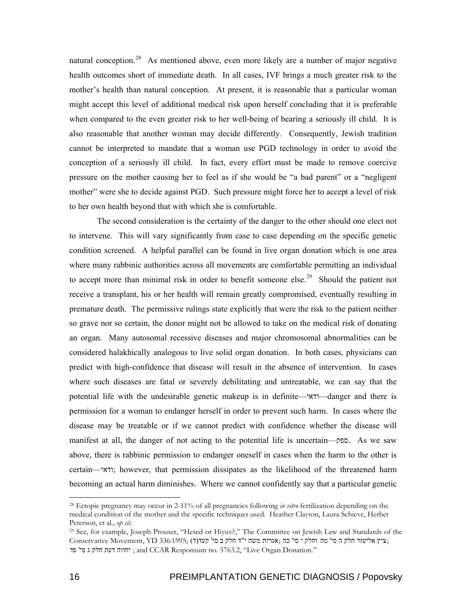natural conception.<sup>[28](#page-15-0)</sup> As mentioned above, even more likely are a number of major negative health outcomes short of immediate death. In all cases, IVF brings a much greater risk to the mother's health than natural conception. At present, it is reasonable that a particular woman might accept this level of additional medical risk upon herself concluding that it is preferable when compared to the even greater risk to her well-being of bearing a seriously ill child. It is also reasonable that another woman may decide differently. Consequently, Jewish tradition cannot be interpreted to mandate that a woman use PGD technology in order to avoid the conception of a seriously ill child. In fact, every effort must be made to remove coercive pressure on the mother causing her to feel as if she would be "a bad parent" or a "negligent mother" were she to decide against PGD. Such pressure might force her to accept a level of risk to her own health beyond that with which she is comfortable.

The second consideration is the certainty of the danger to the other should one elect not to intervene. This will vary significantly from case to case depending on the specific genetic condition screened. A helpful parallel can be found in live organ donation which is one area where many rabbinic authorities across all movements are comfortable permitting an individual to accept more than minimal risk in order to benefit someone else.<sup>[29](#page-15-1)</sup> Should the patient not receive a transplant, his or her health will remain greatly compromised, eventually resulting in premature death. The permissive rulings state explicitly that were the risk to the patient neither so grave nor so certain, the donor might not be allowed to take on the medical risk of donating an organ. Many autosomal recessive diseases and major chromosomal abnormalities can be considered halakhically analogous to live solid organ donation. In both cases, physicians can predict with high-confidence that disease will result in the absence of intervention. In cases where such diseases are fatal or severely debilitating and untreatable, we can say that the potential life with the undesirable genetic makeup is in definite—ודאי—danger and there is permission for a woman to endanger herself in order to prevent such harm. In cases where the disease may be treatable or if we cannot predict with confidence whether the disease will manifest at all, the danger of not acting to the potential life is uncertain—ספק. As we saw above, there is rabbinic permission to endanger oneself in cases when the harm to the other is certain—ודאי ;however, that permission dissipates as the likelihood of the threatened harm becoming an actual harm diminishes. Where we cannot confidently say that a particular genetic

<span id="page-15-0"></span><sup>28</sup> Ectopic pregnancy may occur in 2-11% of all pregnancies following *in vitro* fertilization depending on the medical condition of the mother and the specific techniques used. Heather Clayton, Laura Schieve, Herbet Peterson, et al., *op cit*.<br><sup>29</sup> See, for example, Joseph Prouser, "Hesed or Hiyuv?," The Committee on Jewish Law and Standards of the

<span id="page-15-1"></span> <sup>;</sup>ציץ אליעזר חלק ה סי' מה וחלק י סי' כה ;אגרות משה י"ד חלק ב סי' קעד(ד) ;336:1995 YD ,Movement Conservative פד' סי ג חלק דעת יחווה ; and CCAR Responsum no. 5763.2, "Live Organ Donation."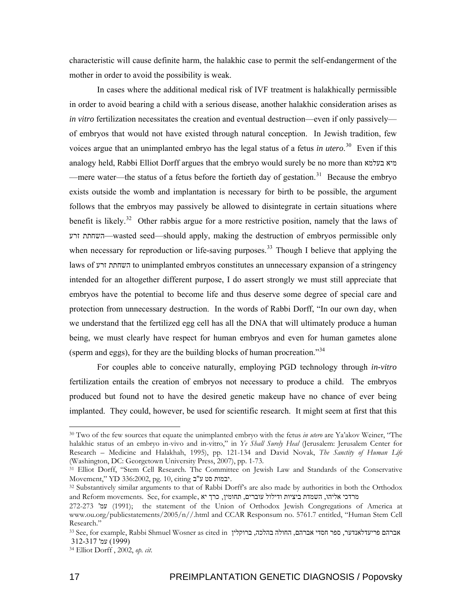characteristic will cause definite harm, the halakhic case to permit the self-endangerment of the mother in order to avoid the possibility is weak.

In cases where the additional medical risk of IVF treatment is halakhically permissible in order to avoid bearing a child with a serious disease, another halakhic consideration arises as *in vitro* fertilization necessitates the creation and eventual destruction—even if only passively of embryos that would not have existed through natural conception. In Jewish tradition, few voices argue that an unimplanted embryo has the legal status of a fetus *in utero*. [30](#page-16-0) Even if this analogy held, Rabbi Elliot Dorff argues that the embryo would surely be no more than בעלמא מיא —mere water—the status of a fetus before the fortieth day of gestation.<sup>[31](#page-16-1)</sup> Because the embryo exists outside the womb and implantation is necessary for birth to be possible, the argument follows that the embryos may passively be allowed to disintegrate in certain situations where benefit is likely.<sup>[32](#page-16-2)</sup> Other rabbis argue for a more restrictive position, namely that the laws of זרע השחתת—wasted seed—should apply, making the destruction of embryos permissible only when necessary for reproduction or life-saving purposes.<sup>[33](#page-16-3)</sup> Though I believe that applying the laws of זרע השחתת to unimplanted embryos constitutes an unnecessary expansion of a stringency intended for an altogether different purpose, I do assert strongly we must still appreciate that embryos have the potential to become life and thus deserve some degree of special care and protection from unnecessary destruction. In the words of Rabbi Dorff, "In our own day, when we understand that the fertilized egg cell has all the DNA that will ultimately produce a human being, we must clearly have respect for human embryos and even for human gametes alone (sperm and eggs), for they are the building blocks of human procreation."[34](#page-16-4)

 For couples able to conceive naturally, employing PGD technology through *in-vitro* fertilization entails the creation of embryos not necessary to produce a child. The embryos produced but found not to have the desired genetic makeup have no chance of ever being implanted. They could, however, be used for scientific research. It might seem at first that this

<span id="page-16-0"></span><sup>30</sup> Two of the few sources that equate the unimplanted embryo with the fetus *in utero* are Ya'akov Weiner, "The halakhic status of an embryo in-vivo and in-vitro," in *Ye Shall Surely Heal* (Jerusalem: Jerusalem Center for Research – Medicine and Halakhah, 1995), pp. 121-134 and David Novak, *The Sanctity of Human Life* (Washington, DC: Georgetown University Press, 2007), pp. 1-73.

<span id="page-16-1"></span><sup>&</sup>lt;sup>31</sup> Elliot Dorff, "Stem Cell Research. The Committee on Jewish Law and Standards of the Conservative Movement," YD 336:2002, pg. 10, citing במות סט ע"ב.<br>32 Substantively similar arguments to that of Rabbi Dorff's are also made by authorities in both the Orthodox

<span id="page-16-2"></span>and Reform movements. See, for example, מרדכי אליהו, השמדת ביציות ודילול עוברים, תחומין, כרך יא

<sup>272-273</sup> 'עמ) 1991 ;(the statement of the Union of Orthodox Jewish Congregations of America at www.ou.org/publicstatements/2005/n//.html and CCAR Responsum no. 5761.7 entitled, "Human Stem Cell Research."

<span id="page-16-3"></span><sup>33</sup> See, for example, Rabbi Shmuel Wosner as cited in ברוקלין ,בהלכה החולה ,אברהם חסדי ספר *,*פריעדלאנדער אברהם 312-317 'עמ) 1999 (

<span id="page-16-4"></span><sup>34</sup> Elliot Dorff , 2002, *op. cit*.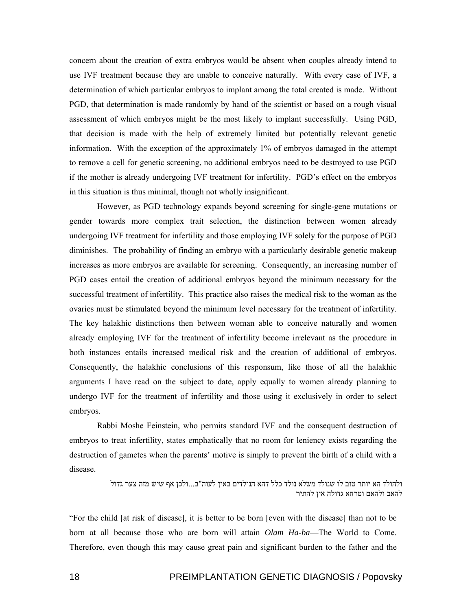concern about the creation of extra embryos would be absent when couples already intend to use IVF treatment because they are unable to conceive naturally. With every case of IVF, a determination of which particular embryos to implant among the total created is made. Without PGD, that determination is made randomly by hand of the scientist or based on a rough visual assessment of which embryos might be the most likely to implant successfully. Using PGD, that decision is made with the help of extremely limited but potentially relevant genetic information. With the exception of the approximately 1% of embryos damaged in the attempt to remove a cell for genetic screening, no additional embryos need to be destroyed to use PGD if the mother is already undergoing IVF treatment for infertility. PGD's effect on the embryos in this situation is thus minimal, though not wholly insignificant.

However, as PGD technology expands beyond screening for single-gene mutations or gender towards more complex trait selection, the distinction between women already undergoing IVF treatment for infertility and those employing IVF solely for the purpose of PGD diminishes. The probability of finding an embryo with a particularly desirable genetic makeup increases as more embryos are available for screening. Consequently, an increasing number of PGD cases entail the creation of additional embryos beyond the minimum necessary for the successful treatment of infertility. This practice also raises the medical risk to the woman as the ovaries must be stimulated beyond the minimum level necessary for the treatment of infertility. The key halakhic distinctions then between woman able to conceive naturally and women already employing IVF for the treatment of infertility become irrelevant as the procedure in both instances entails increased medical risk and the creation of additional of embryos. Consequently, the halakhic conclusions of this responsum, like those of all the halakhic arguments I have read on the subject to date, apply equally to women already planning to undergo IVF for the treatment of infertility and those using it exclusively in order to select embryos.

Rabbi Moshe Feinstein, who permits standard IVF and the consequent destruction of embryos to treat infertility, states emphatically that no room for leniency exists regarding the destruction of gametes when the parents' motive is simply to prevent the birth of a child with a disease.

> ולהולד הא יותר טוב לו שנולד משלא נולד כלל דהא הנולדים באין לעוה"ב...ולכן אף שיש מזה צער גדול להאב ולהאם וטרחא גדולה אין להתיר

"For the child [at risk of disease], it is better to be born [even with the disease] than not to be born at all because those who are born will attain *Olam Ha-ba*—The World to Come. Therefore, even though this may cause great pain and significant burden to the father and the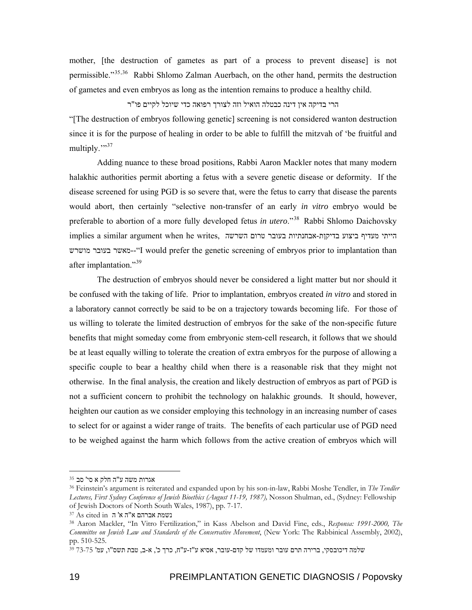mother, [the destruction of gametes as part of a process to prevent disease] is not permissible."<sup>[35](#page-18-0),[36](#page-18-1)</sup> Rabbi Shlomo Zalman Auerbach, on the other hand, permits the destruction of gametes and even embryos as long as the intention remains to produce a healthy child.

## הרי בדיקה אין דינה כבטלה הואיל וזה לצורך רפואה כדי שיוכל לקיים פו"ר

"[The destruction of embryos following genetic] screening is not considered wanton destruction since it is for the purpose of healing in order to be able to fulfill the mitzvah of 'be fruitful and multiply.""[37](#page-18-2)

Adding nuance to these broad positions, Rabbi Aaron Mackler notes that many modern halakhic authorities permit aborting a fetus with a severe genetic disease or deformity. If the disease screened for using PGD is so severe that, were the fetus to carry that disease the parents would abort, then certainly "selective non-transfer of an early *in vitro* embryo would be preferable to abortion of a more fully developed fetus *in utero*."[38](#page-18-3) Rabbi Shlomo Daichovsky implies a similar argument when he writes, הייתי מעדיף ביצוע בדיקות-אבחנתיות בעובר טרום השרשה מושרש בעובר מאשר--"I would prefer the genetic screening of embryos prior to implantation than after implantation."<sup>[39](#page-18-4)</sup>

The destruction of embryos should never be considered a light matter but nor should it be confused with the taking of life. Prior to implantation, embryos created *in vitro* and stored in a laboratory cannot correctly be said to be on a trajectory towards becoming life. For those of us willing to tolerate the limited destruction of embryos for the sake of the non-specific future benefits that might someday come from embryonic stem-cell research, it follows that we should be at least equally willing to tolerate the creation of extra embryos for the purpose of allowing a specific couple to bear a healthy child when there is a reasonable risk that they might not otherwise. In the final analysis, the creation and likely destruction of embryos as part of PGD is not a sufficient concern to prohibit the technology on halakhic grounds. It should, however, heighten our caution as we consider employing this technology in an increasing number of cases to select for or against a wider range of traits. The benefits of each particular use of PGD need to be weighed against the harm which follows from the active creation of embryos which will

i<br>L

<sup>35</sup> אגרות משה ע"ה חלק א סי' סב

<span id="page-18-1"></span><span id="page-18-0"></span><sup>36</sup> Feinstein's argument is reiterated and expanded upon by his son-in-law, Rabbi Moshe Tendler, in *The Tendler Lectures, First Sydney Conference of Jewish Bioethics (August 11-19, 1987),* Nosson Shulman, ed., (Sydney: Fellowship of Jewish Doctors of North South Wales, 1987), pp. 7-17.

<span id="page-18-2"></span> $^{37}$  As cited in  $\,$  "ה א"ה אברהם א $^{\rm 37}$ 

<span id="page-18-3"></span><sup>38</sup> Aaron Mackler, "In Vitro Fertilization," in Kass Abelson and David Fine, eds., *Responsa: 1991-2000, The Committee on Jewish Law and Standards of the Conservative Movement*, (New York: The Rabbinical Assembly, 2002), pp. 510-525.

<span id="page-18-4"></span>שלמה דיכובסקי, ברירה תרם עובר ומעמדו של קדם-עובר, אסיא ע"ז-ע"ח, כרך כ', א-ב, טבת תשס"ו, עמ' 73-75 39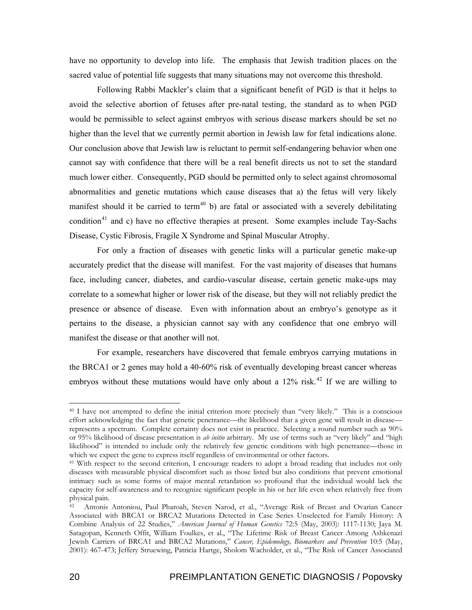have no opportunity to develop into life. The emphasis that Jewish tradition places on the sacred value of potential life suggests that many situations may not overcome this threshold.

Following Rabbi Mackler's claim that a significant benefit of PGD is that it helps to avoid the selective abortion of fetuses after pre-natal testing, the standard as to when PGD would be permissible to select against embryos with serious disease markers should be set no higher than the level that we currently permit abortion in Jewish law for fetal indications alone. Our conclusion above that Jewish law is reluctant to permit self-endangering behavior when one cannot say with confidence that there will be a real benefit directs us not to set the standard much lower either. Consequently, PGD should be permitted only to select against chromosomal abnormalities and genetic mutations which cause diseases that a) the fetus will very likely manifest should it be carried to term<sup>[40](#page-19-0)</sup> b) are fatal or associated with a severely debilitating condition<sup>[41](#page-19-1)</sup> and c) have no effective therapies at present. Some examples include Tay-Sachs Disease, Cystic Fibrosis, Fragile X Syndrome and Spinal Muscular Atrophy.

 For only a fraction of diseases with genetic links will a particular genetic make-up accurately predict that the disease will manifest. For the vast majority of diseases that humans face, including cancer, diabetes, and cardio-vascular disease, certain genetic make-ups may correlate to a somewhat higher or lower risk of the disease, but they will not reliably predict the presence or absence of disease. Even with information about an embryo's genotype as it pertains to the disease, a physician cannot say with any confidence that one embryo will manifest the disease or that another will not.

 For example, researchers have discovered that female embryos carrying mutations in the BRCA1 or 2 genes may hold a 40-60% risk of eventually developing breast cancer whereas embryos without these mutations would have only about a  $12\%$  risk.<sup>[42](#page-19-2)</sup> If we are willing to

<span id="page-19-0"></span><sup>&</sup>lt;sup>40</sup> I have not attempted to define the initial criterion more precisely than "very likely." This is a conscious effort acknowledging the fact that genetic penetrance—the likelihood that a given gene will result in disease represents a spectrum. Complete certainty does not exist in practice. Selecting a round number such as 90% or 95% likelihood of disease presentation is *ab initio* arbitrary. My use of terms such as "very likely" and "high likelihood" is intended to include only the relatively few genetic conditions with high penetrance—those in which we expect the gene to express itself regardless of environmental or other factors.

<span id="page-19-1"></span><sup>&</sup>lt;sup>41</sup> With respect to the second criterion, I encourage readers to adopt a broad reading that includes not only diseases with measurable physical discomfort such as those listed but also conditions that prevent emotional intimacy such as some forms of major mental retardation so profound that the individual would lack the capacity for self-awareness and to recognize significant people in his or her life even when relatively free from physical pain.

<span id="page-19-2"></span><sup>42</sup> Antonis Antoniou, Paul Pharoah, Steven Narod, et al., "Average Risk of Breast and Ovarian Cancer Associated with BRCA1 or BRCA2 Mutations Detected in Case Series Unselected for Family History: A Combine Analysis of 22 Studies," *American Journal of Human Genetics* 72:5 (May, 2003): 1117-1130; Jaya M. Satagopan, Kenneth Offit, William Foulkes, et al., "The Lifetime Risk of Breast Cancer Among Ashkenazi Jewish Carriers of BRCA1 and BRCA2 Mutations," *Cancer, Epidemology, Biomarkers and Prevention* 10:5 (May, 2001): 467-473; Jeffery Struewing, Patricia Hartge, Sholom Wacholder, et al., "The Risk of Cancer Associated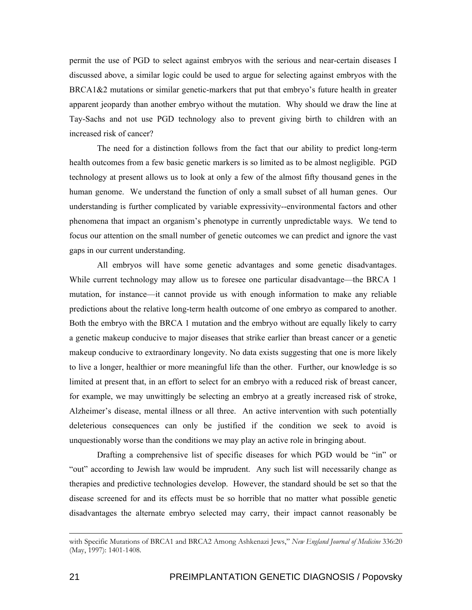permit the use of PGD to select against embryos with the serious and near-certain diseases I discussed above, a similar logic could be used to argue for selecting against embryos with the BRCA1&2 mutations or similar genetic-markers that put that embryo's future health in greater apparent jeopardy than another embryo without the mutation. Why should we draw the line at Tay-Sachs and not use PGD technology also to prevent giving birth to children with an increased risk of cancer?

 The need for a distinction follows from the fact that our ability to predict long-term health outcomes from a few basic genetic markers is so limited as to be almost negligible. PGD technology at present allows us to look at only a few of the almost fifty thousand genes in the human genome. We understand the function of only a small subset of all human genes. Our understanding is further complicated by variable expressivity--environmental factors and other phenomena that impact an organism's phenotype in currently unpredictable ways. We tend to focus our attention on the small number of genetic outcomes we can predict and ignore the vast gaps in our current understanding.

 All embryos will have some genetic advantages and some genetic disadvantages. While current technology may allow us to foresee one particular disadvantage—the BRCA 1 mutation, for instance—it cannot provide us with enough information to make any reliable predictions about the relative long-term health outcome of one embryo as compared to another. Both the embryo with the BRCA 1 mutation and the embryo without are equally likely to carry a genetic makeup conducive to major diseases that strike earlier than breast cancer or a genetic makeup conducive to extraordinary longevity. No data exists suggesting that one is more likely to live a longer, healthier or more meaningful life than the other. Further, our knowledge is so limited at present that, in an effort to select for an embryo with a reduced risk of breast cancer, for example, we may unwittingly be selecting an embryo at a greatly increased risk of stroke, Alzheimer's disease, mental illness or all three. An active intervention with such potentially deleterious consequences can only be justified if the condition we seek to avoid is unquestionably worse than the conditions we may play an active role in bringing about.

Drafting a comprehensive list of specific diseases for which PGD would be "in" or "out" according to Jewish law would be imprudent. Any such list will necessarily change as therapies and predictive technologies develop. However, the standard should be set so that the disease screened for and its effects must be so horrible that no matter what possible genetic disadvantages the alternate embryo selected may carry, their impact cannot reasonably be

with Specific Mutations of BRCA1 and BRCA2 Among Ashkenazi Jews," *New England Journal of Medicine* 336:20 (May, 1997): 1401-1408.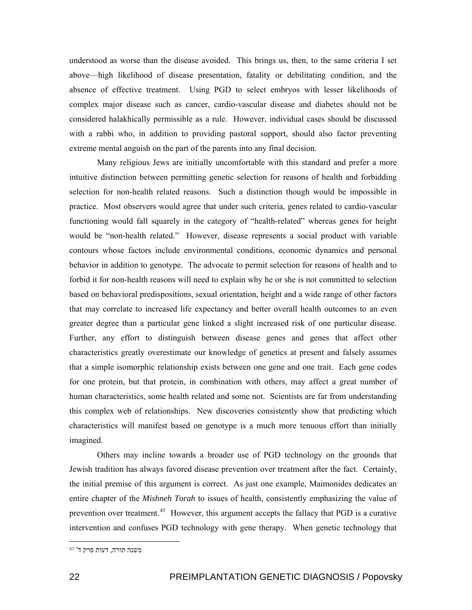understood as worse than the disease avoided. This brings us, then, to the same criteria I set above—high likelihood of disease presentation, fatality or debilitating condition, and the absence of effective treatment. Using PGD to select embryos with lesser likelihoods of complex major disease such as cancer, cardio-vascular disease and diabetes should not be considered halakhically permissible as a rule. However, individual cases should be discussed with a rabbi who, in addition to providing pastoral support, should also factor preventing extreme mental anguish on the part of the parents into any final decision.

Many religious Jews are initially uncomfortable with this standard and prefer a more intuitive distinction between permitting genetic selection for reasons of health and forbidding selection for non-health related reasons. Such a distinction though would be impossible in practice. Most observers would agree that under such criteria, genes related to cardio-vascular functioning would fall squarely in the category of "health-related" whereas genes for height would be "non-health related." However, disease represents a social product with variable contours whose factors include environmental conditions, economic dynamics and personal behavior in addition to genotype. The advocate to permit selection for reasons of health and to forbid it for non-health reasons will need to explain why he or she is not committed to selection based on behavioral predispositions, sexual orientation, height and a wide range of other factors that may correlate to increased life expectancy and better overall health outcomes to an even greater degree than a particular gene linked a slight increased risk of one particular disease. Further, any effort to distinguish between disease genes and genes that affect other characteristics greatly overestimate our knowledge of genetics at present and falsely assumes that a simple isomorphic relationship exists between one gene and one trait. Each gene codes for one protein, but that protein, in combination with others, may affect a great number of human characteristics, some health related and some not. Scientists are far from understanding this complex web of relationships. New discoveries consistently show that predicting which characteristics will manifest based on genotype is a much more tenuous effort than initially imagined.

Others may incline towards a broader use of PGD technology on the grounds that Jewish tradition has always favored disease prevention over treatment after the fact. Certainly, the initial premise of this argument is correct. As just one example, Maimonides dedicates an entire chapter of the *Mishneh Torah* to issues of health, consistently emphasizing the value of prevention over treatment.<sup>[43](#page-21-0)</sup> However, this argument accepts the fallacy that PGD is a curative intervention and confuses PGD technology with gene therapy. When genetic technology that

<span id="page-21-0"></span><sup>43</sup> משנה תורה, דעות פרק ד'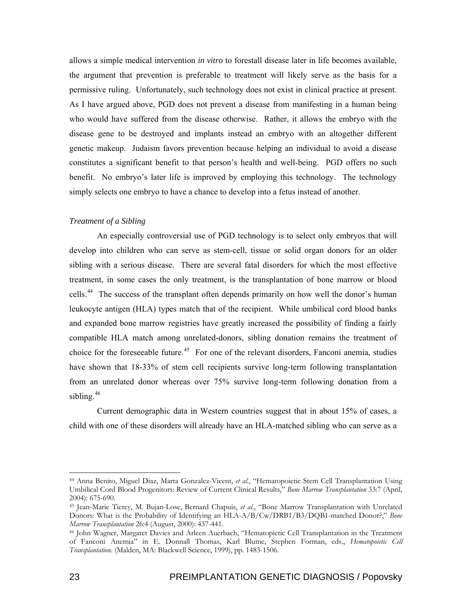allows a simple medical intervention *in vitro* to forestall disease later in life becomes available, the argument that prevention is preferable to treatment will likely serve as the basis for a permissive ruling. Unfortunately, such technology does not exist in clinical practice at present. As I have argued above, PGD does not prevent a disease from manifesting in a human being who would have suffered from the disease otherwise. Rather, it allows the embryo with the disease gene to be destroyed and implants instead an embryo with an altogether different genetic makeup. Judaism favors prevention because helping an individual to avoid a disease constitutes a significant benefit to that person's health and well-being. PGD offers no such benefit. No embryo's later life is improved by employing this technology. The technology simply selects one embryo to have a chance to develop into a fetus instead of another.

## *Treatment of a Sibling*

 An especially controversial use of PGD technology is to select only embryos that will develop into children who can serve as stem-cell, tissue or solid organ donors for an older sibling with a serious disease. There are several fatal disorders for which the most effective treatment, in some cases the only treatment, is the transplantation of bone marrow or blood cells.[44](#page-22-0) The success of the transplant often depends primarily on how well the donor's human leukocyte antigen (HLA) types match that of the recipient. While umbilical cord blood banks and expanded bone marrow registries have greatly increased the possibility of finding a fairly compatible HLA match among unrelated-donors, sibling donation remains the treatment of choice for the foreseeable future.<sup>[45](#page-22-1)</sup> For one of the relevant disorders, Fanconi anemia, studies have shown that 18-33% of stem cell recipients survive long-term following transplantation from an unrelated donor whereas over 75% survive long-term following donation from a sibling. $46$ 

 Current demographic data in Western countries suggest that in about 15% of cases, a child with one of these disorders will already have an HLA-matched sibling who can serve as a

<span id="page-22-0"></span><sup>44</sup> Anna Benito, Miguel Diaz, Marta Gonzalez-Vicent, *et al*., "Hematopoietic Stem Cell Transplantation Using Umbilical Cord Blood Progenitors: Review of Current Clinical Results," *Bone Marrow Transplantation* 33:7 (April, 2004): 675-690.

<span id="page-22-1"></span><sup>45</sup> Jean-Marie Tiercy, M. Bujan-Lose, Bernard Chapuis, *et al*., "Bone Marrow Transplantation with Unrelated Donors: What is the Probability of Identifying an HLA-A/B/Cw/DRB1/B3/DQB1-matched Donor?," *Bone* 

<span id="page-22-2"></span><sup>&</sup>lt;sup>46</sup> John Wagner, Margaret Davies and Arleen Auerbach, "Hematopietic Cell Transplantation in the Treatment of Fanconi Anemia" in E. Donnall Thomas, Karl Blume, Stephen Forman, eds., *Hematopoietic Cell Transplantation*. (Malden, MA: Blackwell Science, 1999), pp. 1483-1506.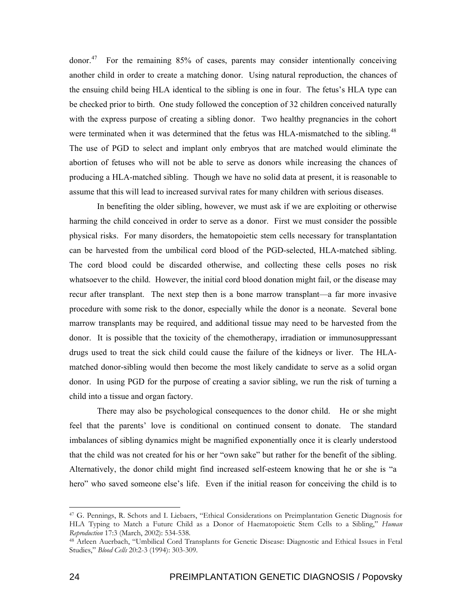donor.[47](#page-23-0) For the remaining 85% of cases, parents may consider intentionally conceiving another child in order to create a matching donor. Using natural reproduction, the chances of the ensuing child being HLA identical to the sibling is one in four. The fetus's HLA type can be checked prior to birth. One study followed the conception of 32 children conceived naturally with the express purpose of creating a sibling donor. Two healthy pregnancies in the cohort were terminated when it was determined that the fetus was HLA-mismatched to the sibling.<sup>[48](#page-23-1)</sup> The use of PGD to select and implant only embryos that are matched would eliminate the abortion of fetuses who will not be able to serve as donors while increasing the chances of producing a HLA-matched sibling. Though we have no solid data at present, it is reasonable to assume that this will lead to increased survival rates for many children with serious diseases.

 In benefiting the older sibling, however, we must ask if we are exploiting or otherwise harming the child conceived in order to serve as a donor. First we must consider the possible physical risks. For many disorders, the hematopoietic stem cells necessary for transplantation can be harvested from the umbilical cord blood of the PGD-selected, HLA-matched sibling. The cord blood could be discarded otherwise, and collecting these cells poses no risk whatsoever to the child. However, the initial cord blood donation might fail, or the disease may recur after transplant. The next step then is a bone marrow transplant—a far more invasive procedure with some risk to the donor, especially while the donor is a neonate. Several bone marrow transplants may be required, and additional tissue may need to be harvested from the donor. It is possible that the toxicity of the chemotherapy, irradiation or immunosuppressant drugs used to treat the sick child could cause the failure of the kidneys or liver. The HLAmatched donor-sibling would then become the most likely candidate to serve as a solid organ donor. In using PGD for the purpose of creating a savior sibling, we run the risk of turning a child into a tissue and organ factory.

 There may also be psychological consequences to the donor child. He or she might feel that the parents' love is conditional on continued consent to donate. The standard imbalances of sibling dynamics might be magnified exponentially once it is clearly understood that the child was not created for his or her "own sake" but rather for the benefit of the sibling. Alternatively, the donor child might find increased self-esteem knowing that he or she is "a hero" who saved someone else's life. Even if the initial reason for conceiving the child is to

<span id="page-23-0"></span><sup>47</sup> G. Pennings, R. Schots and I. Liebaers, "Ethical Considerations on Preimplantation Genetic Diagnosis for HLA Typing to Match a Future Child as a Donor of Haematopoietic Stem Cells to a Sibling," *Human Reproduction* 17:3 (March, 2002): 534-538.<br><sup>48</sup> Arleen Auerbach, "Umbilical Cord Transplants for Genetic Disease: Diagnostic and Ethical Issues in Fetal

<span id="page-23-1"></span>Studies," *Blood Cells* 20:2-3 (1994): 303-309.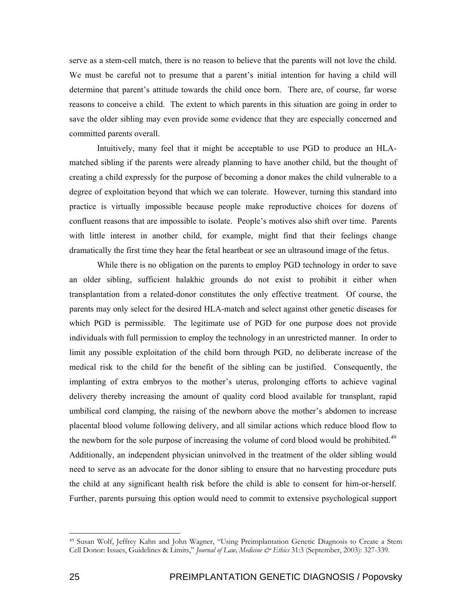serve as a stem-cell match, there is no reason to believe that the parents will not love the child. We must be careful not to presume that a parent's initial intention for having a child will determine that parent's attitude towards the child once born. There are, of course, far worse reasons to conceive a child. The extent to which parents in this situation are going in order to save the older sibling may even provide some evidence that they are especially concerned and committed parents overall.

 Intuitively, many feel that it might be acceptable to use PGD to produce an HLAmatched sibling if the parents were already planning to have another child, but the thought of creating a child expressly for the purpose of becoming a donor makes the child vulnerable to a degree of exploitation beyond that which we can tolerate. However, turning this standard into practice is virtually impossible because people make reproductive choices for dozens of confluent reasons that are impossible to isolate. People's motives also shift over time. Parents with little interest in another child, for example, might find that their feelings change dramatically the first time they hear the fetal heartbeat or see an ultrasound image of the fetus.

While there is no obligation on the parents to employ PGD technology in order to save an older sibling, sufficient halakhic grounds do not exist to prohibit it either when transplantation from a related-donor constitutes the only effective treatment. Of course, the parents may only select for the desired HLA-match and select against other genetic diseases for which PGD is permissible. The legitimate use of PGD for one purpose does not provide individuals with full permission to employ the technology in an unrestricted manner. In order to limit any possible exploitation of the child born through PGD, no deliberate increase of the medical risk to the child for the benefit of the sibling can be justified. Consequently, the implanting of extra embryos to the mother's uterus, prolonging efforts to achieve vaginal delivery thereby increasing the amount of quality cord blood available for transplant, rapid umbilical cord clamping, the raising of the newborn above the mother's abdomen to increase placental blood volume following delivery, and all similar actions which reduce blood flow to the newborn for the sole purpose of increasing the volume of cord blood would be prohibited.<sup>[49](#page-24-0)</sup> Additionally, an independent physician uninvolved in the treatment of the older sibling would need to serve as an advocate for the donor sibling to ensure that no harvesting procedure puts the child at any significant health risk before the child is able to consent for him-or-herself. Further, parents pursuing this option would need to commit to extensive psychological support

<span id="page-24-0"></span><sup>49</sup> Susan Wolf, Jeffrey Kahn and John Wagner, "Using Preimplantation Genetic Diagnosis to Create a Stem Cell Donor: Issues, Guidelines & Limits," *Journal of Law, Medicine & Ethics* 31:3 (September, 2003): 327-339.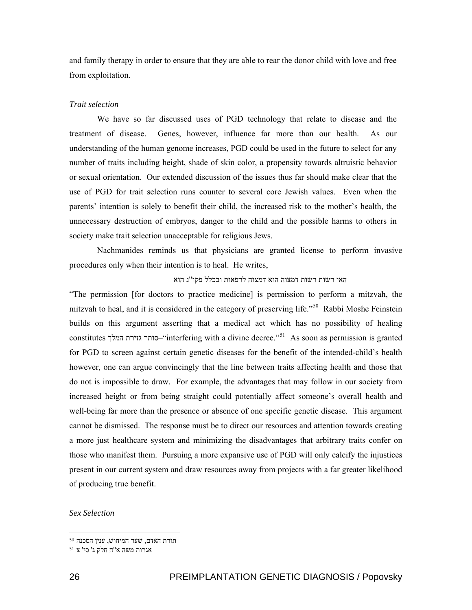and family therapy in order to ensure that they are able to rear the donor child with love and free from exploitation.

### *Trait selection*

 We have so far discussed uses of PGD technology that relate to disease and the treatment of disease. Genes, however, influence far more than our health. As our understanding of the human genome increases, PGD could be used in the future to select for any number of traits including height, shade of skin color, a propensity towards altruistic behavior or sexual orientation. Our extended discussion of the issues thus far should make clear that the use of PGD for trait selection runs counter to several core Jewish values. Even when the parents' intention is solely to benefit their child, the increased risk to the mother's health, the unnecessary destruction of embryos, danger to the child and the possible harms to others in society make trait selection unacceptable for religious Jews.

 Nachmanides reminds us that physicians are granted license to perform invasive procedures only when their intention is to heal. He writes,

## האי רשות רשות דמצוה הוא דמצוה לרפאות ובכלל פקו"נ הוא

"The permission [for doctors to practice medicine] is permission to perform a mitzvah, the mitzvah to heal, and it is considered in the category of preserving life."<sup>[50](#page-25-0)</sup> Rabbi Moshe Feinstein builds on this argument asserting that a medical act which has no possibility of healing constitutes המלך גזירת סותר"–interfering with a divine decree."[51](#page-25-1) As soon as permission is granted for PGD to screen against certain genetic diseases for the benefit of the intended-child's health however, one can argue convincingly that the line between traits affecting health and those that do not is impossible to draw. For example, the advantages that may follow in our society from increased height or from being straight could potentially affect someone's overall health and well-being far more than the presence or absence of one specific genetic disease. This argument cannot be dismissed. The response must be to direct our resources and attention towards creating a more just healthcare system and minimizing the disadvantages that arbitrary traits confer on those who manifest them. Pursuing a more expansive use of PGD will only calcify the injustices present in our current system and draw resources away from projects with a far greater likelihood of producing true benefit.

*Sex Selection* 

<span id="page-25-0"></span> $^{50}$  תורת האדם, שער המיחוש, ענין הסכנה

<span id="page-25-1"></span><sup>51</sup> אגרות משה א"ח חלק ג' סי' צ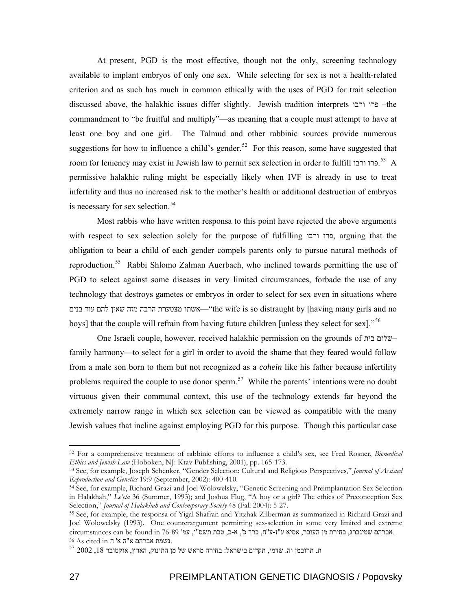At present, PGD is the most effective, though not the only, screening technology available to implant embryos of only one sex. While selecting for sex is not a health-related criterion and as such has much in common ethically with the uses of PGD for trait selection discussed above, the halakhic issues differ slightly. Jewish tradition interprets ורבו פרו– the commandment to "be fruitful and multiply"—as meaning that a couple must attempt to have at least one boy and one girl. The Talmud and other rabbinic sources provide numerous suggestions for how to influence a child's gender.<sup>[52](#page-26-0)</sup> For this reason, some have suggested that room for leniency may exist in Jewish law to permit sex selection in order to fulfill ורבו פרו. [53](#page-26-1) A permissive halakhic ruling might be especially likely when IVF is already in use to treat infertility and thus no increased risk to the mother's health or additional destruction of embryos is necessary for sex selection.<sup>[54](#page-26-2)</sup>

 Most rabbis who have written responsa to this point have rejected the above arguments with respect to sex selection solely for the purpose of fulfilling ורבו פרו, arguing that the obligation to bear a child of each gender compels parents only to pursue natural methods of reproduction.<sup>[55](#page-26-3)</sup> Rabbi Shlomo Zalman Auerbach, who inclined towards permitting the use of PGD to select against some diseases in very limited circumstances, forbade the use of any technology that destroys gametes or embryos in order to select for sex even in situations where בנים עוד בנים הרבה מזה שאין להם עוד להם שאין מצטערת הרבה משאין היה שאין היה שאין היה שאון היה הרבה מזה שאין ה boys] that the couple will refrain from having future children [unless they select for sex]."<sup>[56](#page-26-4)</sup>

One Israeli couple, however, received halakhic permission on the grounds of בית שלום– family harmony—to select for a girl in order to avoid the shame that they feared would follow from a male son born to them but not recognized as a *cohein* like his father because infertility problems required the couple to use donor sperm.<sup>[57](#page-26-5)</sup> While the parents' intentions were no doubt virtuous given their communal context, this use of the technology extends far beyond the extremely narrow range in which sex selection can be viewed as compatible with the many Jewish values that incline against employing PGD for this purpose. Though this particular case

<sup>52</sup> For a comprehensive treatment of rabbinic efforts to influence a child's sex, see Fred Rosner, *Biomedical* 

<span id="page-26-1"></span><span id="page-26-0"></span>*Ethics and Jewish Law* (Hoboken, NJ: Ktav Publishing, 2001), pp. 165-173.<br><sup>53</sup> See, for example, Joseph Schenker, "Gender Selection: Cultural and Religious Perspectives," *Journal of Assisted*<br>Reproduction and Genetics 19

<span id="page-26-2"></span><sup>&</sup>lt;sup>4</sup> See, for example, Richard Grazi and Joel Wolowelsky, "Genetic Screening and Preimplantation Sex Selection in Halakhah," *Le'ela* 36 (Summer, 1993); and Joshua Flug, "A boy or a girl? The ethics of Preconception Sex Selection," *Journal of Halakhah and Contemporary Society* 48 (Fall 2004): 5-27.

<span id="page-26-3"></span><sup>&</sup>lt;sup>55</sup> See, for example, the responsa of Yigal Shafran and Yitzhak Zilberman as summarized in Richard Grazi and Joel Wolowelsky (1993). One counterargument permitting sex-selection in some very limited and extreme .אברהם שטינברג, בחירת מן העובר, אסיא ע"ז-ע"ח, כרך כ', א-ב, טבת תשס"ו, עמ' 76-89 in found be can circumstances  $56$  As cited in ה $\,$  "ה אברהם א"ה אברהם א $\,$ 

<span id="page-26-5"></span><span id="page-26-4"></span>ת. תרובמן וה. שדמי, תקדים בישראל: בחירה מראש של מן התינוק, הארץ, אוקטובר 18, 2002 <sup>57</sup>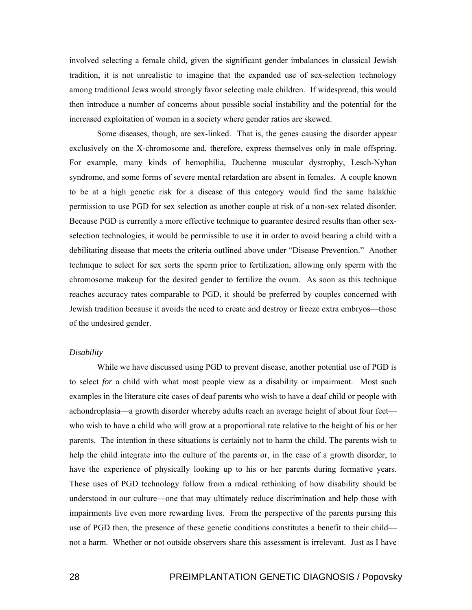involved selecting a female child, given the significant gender imbalances in classical Jewish tradition, it is not unrealistic to imagine that the expanded use of sex-selection technology among traditional Jews would strongly favor selecting male children. If widespread, this would then introduce a number of concerns about possible social instability and the potential for the increased exploitation of women in a society where gender ratios are skewed.

 Some diseases, though, are sex-linked. That is, the genes causing the disorder appear exclusively on the X-chromosome and, therefore, express themselves only in male offspring. For example, many kinds of hemophilia, Duchenne muscular dystrophy, Lesch-Nyhan syndrome, and some forms of severe mental retardation are absent in females. A couple known to be at a high genetic risk for a disease of this category would find the same halakhic permission to use PGD for sex selection as another couple at risk of a non-sex related disorder. Because PGD is currently a more effective technique to guarantee desired results than other sexselection technologies, it would be permissible to use it in order to avoid bearing a child with a debilitating disease that meets the criteria outlined above under "Disease Prevention." Another technique to select for sex sorts the sperm prior to fertilization, allowing only sperm with the chromosome makeup for the desired gender to fertilize the ovum. As soon as this technique reaches accuracy rates comparable to PGD, it should be preferred by couples concerned with Jewish tradition because it avoids the need to create and destroy or freeze extra embryos—those of the undesired gender.

### *Disability*

 While we have discussed using PGD to prevent disease, another potential use of PGD is to select *for* a child with what most people view as a disability or impairment. Most such examples in the literature cite cases of deaf parents who wish to have a deaf child or people with achondroplasia—a growth disorder whereby adults reach an average height of about four feet who wish to have a child who will grow at a proportional rate relative to the height of his or her parents. The intention in these situations is certainly not to harm the child. The parents wish to help the child integrate into the culture of the parents or, in the case of a growth disorder, to have the experience of physically looking up to his or her parents during formative years. These uses of PGD technology follow from a radical rethinking of how disability should be understood in our culture—one that may ultimately reduce discrimination and help those with impairments live even more rewarding lives. From the perspective of the parents pursing this use of PGD then, the presence of these genetic conditions constitutes a benefit to their child not a harm. Whether or not outside observers share this assessment is irrelevant. Just as I have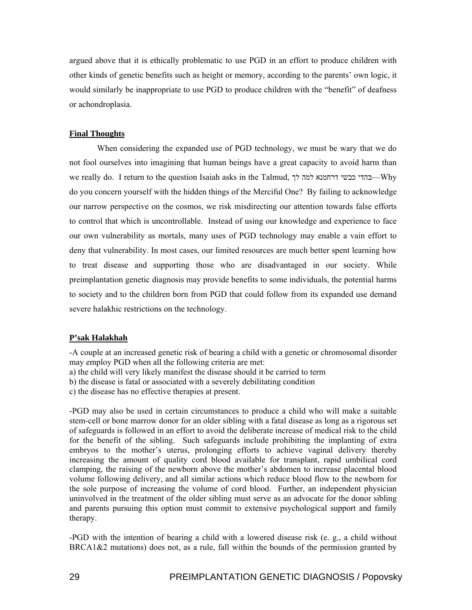argued above that it is ethically problematic to use PGD in an effort to produce children with other kinds of genetic benefits such as height or memory, according to the parents' own logic, it would similarly be inappropriate to use PGD to produce children with the "benefit" of deafness or achondroplasia.

## **Final Thoughts**

 When considering the expanded use of PGD technology, we must be wary that we do not fool ourselves into imagining that human beings have a great capacity to avoid harm than we really do. I return to the question Isaiah asks in the Talmud, למה לך הדרחמנא כבשי דרחמנא למה ל do you concern yourself with the hidden things of the Merciful One? By failing to acknowledge our narrow perspective on the cosmos, we risk misdirecting our attention towards false efforts to control that which is uncontrollable. Instead of using our knowledge and experience to face our own vulnerability as mortals, many uses of PGD technology may enable a vain effort to deny that vulnerability. In most cases, our limited resources are much better spent learning how to treat disease and supporting those who are disadvantaged in our society. While preimplantation genetic diagnosis may provide benefits to some individuals, the potential harms to society and to the children born from PGD that could follow from its expanded use demand severe halakhic restrictions on the technology.

## **P'sak Halakhah**

-A couple at an increased genetic risk of bearing a child with a genetic or chromosomal disorder may employ PGD when all the following criteria are met:

- a) the child will very likely manifest the disease should it be carried to term
- b) the disease is fatal or associated with a severely debilitating condition
- c) the disease has no effective therapies at present.

-PGD may also be used in certain circumstances to produce a child who will make a suitable stem-cell or bone marrow donor for an older sibling with a fatal disease as long as a rigorous set of safeguards is followed in an effort to avoid the deliberate increase of medical risk to the child for the benefit of the sibling. Such safeguards include prohibiting the implanting of extra embryos to the mother's uterus, prolonging efforts to achieve vaginal delivery thereby increasing the amount of quality cord blood available for transplant, rapid umbilical cord clamping, the raising of the newborn above the mother's abdomen to increase placental blood volume following delivery, and all similar actions which reduce blood flow to the newborn for the sole purpose of increasing the volume of cord blood. Further, an independent physician uninvolved in the treatment of the older sibling must serve as an advocate for the donor sibling and parents pursuing this option must commit to extensive psychological support and family therapy.

-PGD with the intention of bearing a child with a lowered disease risk (e. g., a child without BRCA1&2 mutations) does not, as a rule, fall within the bounds of the permission granted by